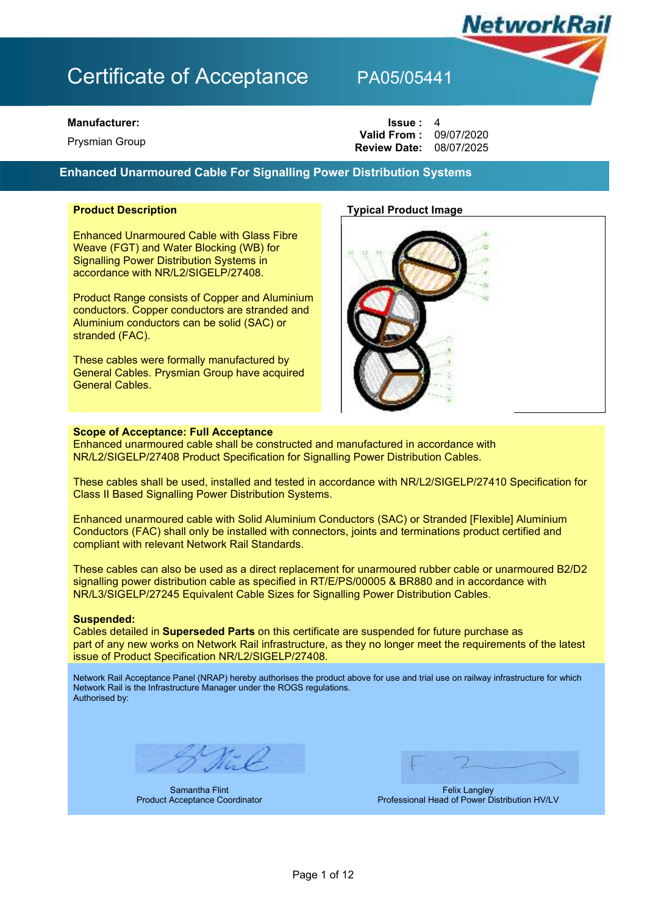### **Manufacturer:**

**Prysmian Group** 

| lssue: 4                       |  |
|--------------------------------|--|
| <b>Valid From: 09/07/2020</b>  |  |
| <b>Review Date: 08/07/2025</b> |  |

## **Enhanced Unarmoured Cable For Signalling Power Distribution Systems**

Enhanced Unarmoured Cable with Glass Fibre Weave (FGT) and Water Blocking (WB) for Signalling Power Distribution Systems in accordance with NR/L2/SIGELP/27408.

Product Range consists of Copper and Aluminium conductors. Copper conductors are stranded and Aluminium conductors can be solid (SAC) or stranded (FAC).

These cables were formally manufactured by General Cables. Prysmian Group have acquired General Cables.

## **Product Description Typical Product Image**



**NetworkRa** 

### **Scope of Acceptance: Full Acceptance**

Enhanced unarmoured cable shall be constructed and manufactured in accordance with NR/L2/SIGELP/27408 Product Specification for Signalling Power Distribution Cables.

These cables shall be used, installed and tested in accordance with NR/L2/SIGELP/27410 Specification for Class II Based Signalling Power Distribution Systems.

Enhanced unarmoured cable with Solid Aluminium Conductors (SAC) or Stranded [Flexible] Aluminium Conductors (FAC) shall only be installed with connectors, joints and terminations product certified and compliant with relevant Network Rail Standards.

These cables can also be used as a direct replacement for unarmoured rubber cable or unarmoured B2/D2 signalling power distribution cable as specified in RT/E/PS/00005 & BR880 and in accordance with NR/L3/SIGELP/27245 Equivalent Cable Sizes for Signalling Power Distribution Cables.

## **Suspended:**

Cables detailed in **Superseded Parts** on this certificate are suspended for future purchase as part of any new works on Network Rail infrastructure, as they no longer meet the requirements of the latest issue of Product Specification NR/L2/SIGELP/27408.

Network Rail Acceptance Panel (NRAP) hereby authorises the product above for use and trial use on railway infrastructure for which Network Rail is the Infrastructure Manager under the ROGS regulations. Authorised by:

Samantha Flint Product Acceptance Coordinator

Felix Langley Professional Head of Power Distribution HV/LV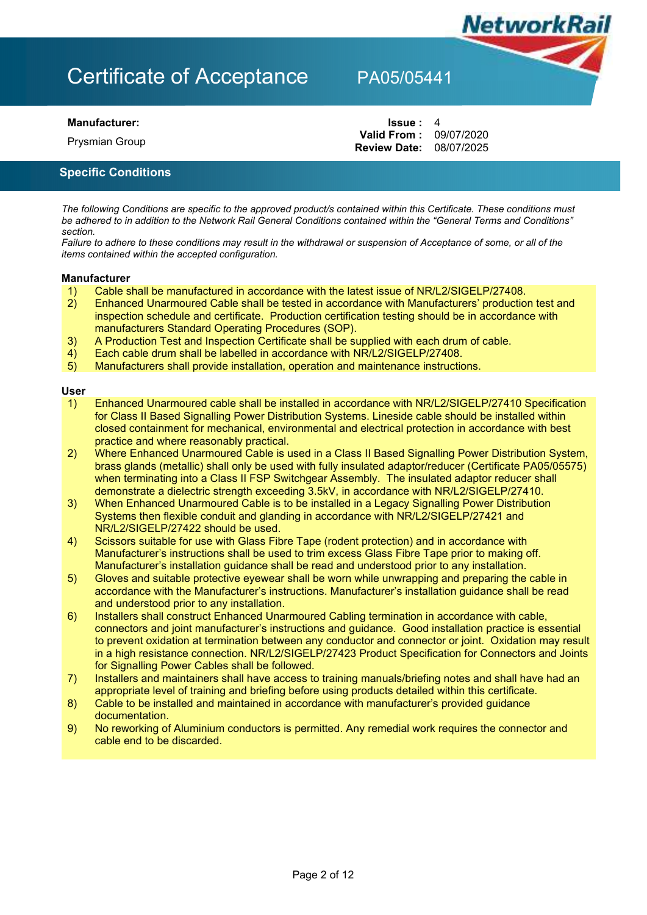**Prysmian Group** 

**Manufacturer: Issue :** 4 **Review Date:** 08/07/2025 **Valid From: 09/07/2020** 

**NetworkRail** 

## **Specific Conditions**

*The following Conditions are specific to the approved product/s contained within this Certificate. These conditions must be adhered to in addition to the Network Rail General Conditions contained within the "General Terms and Conditions" section.* 

*Failure to adhere to these conditions may result in the withdrawal or suspension of Acceptance of some, or all of the items contained within the accepted configuration.* 

## **Manufacturer**

- 1) Cable shall be manufactured in accordance with the latest issue of NR/L2/SIGELP/27408.<br>2) Enhanced Unarmoured Cable shall be tested in accordance with Manufacturers' productio
- 2) Enhanced Unarmoured Cable shall be tested in accordance with Manufacturers' production test and inspection schedule and certificate. Production certification testing should be in accordance with manufacturers Standard Operating Procedures (SOP).
- 3) A Production Test and Inspection Certificate shall be supplied with each drum of cable.
- 4) Each cable drum shall be labelled in accordance with NR/L2/SIGELP/27408.
- 5) Manufacturers shall provide installation, operation and maintenance instructions.

### **User**

- 1) Enhanced Unarmoured cable shall be installed in accordance with NR/L2/SIGELP/27410 Specification for Class II Based Signalling Power Distribution Systems. Lineside cable should be installed within closed containment for mechanical, environmental and electrical protection in accordance with best practice and where reasonably practical.
- 2) Where Enhanced Unarmoured Cable is used in a Class II Based Signalling Power Distribution System, brass glands (metallic) shall only be used with fully insulated adaptor/reducer (Certificate PA05/05575) when terminating into a Class II FSP Switchgear Assembly. The insulated adaptor reducer shall demonstrate a dielectric strength exceeding 3.5kV, in accordance with NR/L2/SIGELP/27410.
- 3) When Enhanced Unarmoured Cable is to be installed in a Legacy Signalling Power Distribution Systems then flexible conduit and glanding in accordance with NR/L2/SIGELP/27421 and NR/L2/SIGELP/27422 should be used.
- 4) Scissors suitable for use with Glass Fibre Tape (rodent protection) and in accordance with Manufacturer's instructions shall be used to trim excess Glass Fibre Tape prior to making off. Manufacturer's installation guidance shall be read and understood prior to any installation.
- 5) Gloves and suitable protective eyewear shall be worn while unwrapping and preparing the cable in accordance with the Manufacturer's instructions. Manufacturer's installation guidance shall be read and understood prior to any installation.
- 6) Installers shall construct Enhanced Unarmoured Cabling termination in accordance with cable, connectors and joint manufacturer's instructions and guidance. Good installation practice is essential to prevent oxidation at termination between any conductor and connector or joint. Oxidation may result in a high resistance connection. NR/L2/SIGELP/27423 Product Specification for Connectors and Joints for Signalling Power Cables shall be followed.
- 7) Installers and maintainers shall have access to training manuals/briefing notes and shall have had an appropriate level of training and briefing before using products detailed within this certificate.
- 8) Cable to be installed and maintained in accordance with manufacturer's provided guidance documentation.
- 9) No reworking of Aluminium conductors is permitted. Any remedial work requires the connector and cable end to be discarded.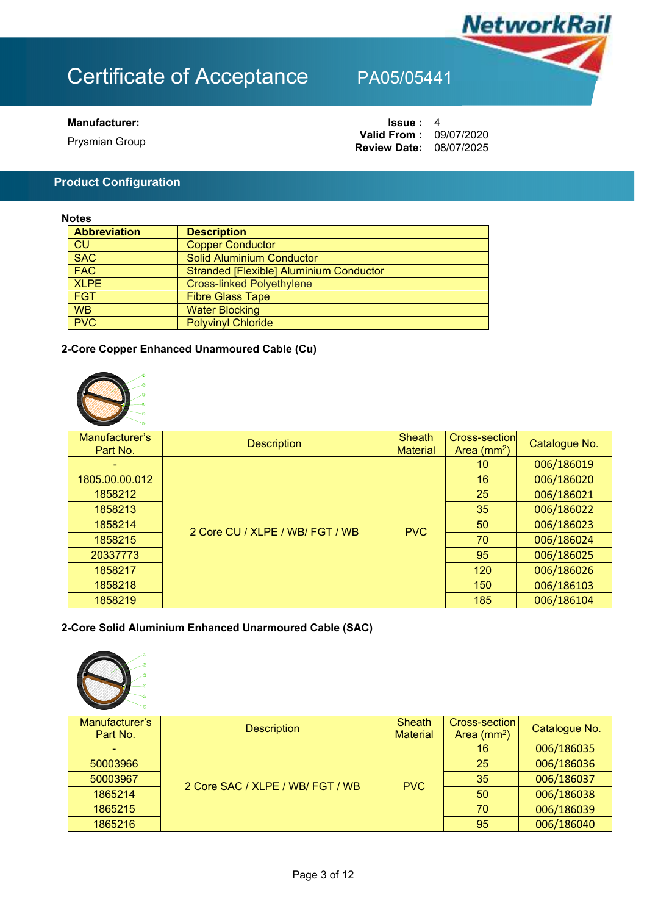

## **Manufacturer:**

**Prysmian Group** 

| Issue :                        | 4 |
|--------------------------------|---|
| <b>Valid From: 09/07/2020</b>  |   |
| <b>Review Date: 08/07/2025</b> |   |

## **Product Configuration**

## **Notes**

| <b>Abbreviation</b> | <b>Description</b>                             |
|---------------------|------------------------------------------------|
| <b>CU</b>           | <b>Copper Conductor</b>                        |
| <b>SAC</b>          | Solid Aluminium Conductor                      |
| <b>FAC</b>          | <b>Stranded [Flexible] Aluminium Conductor</b> |
| <b>XLPE</b>         | <b>Cross-linked Polyethylene</b>               |
| <b>FGT</b>          | <b>Fibre Glass Tape</b>                        |
| <b>WB</b>           | <b>Water Blocking</b>                          |
| PVC                 | <b>Polyvinyl Chloride</b>                      |

## **2-Core Copper Enhanced Unarmoured Cable (Cu)**



| Manufacturer's<br>Part No. | <b>Description</b>              | <b>Sheath</b><br><b>Material</b> | Cross-section<br>Area $(mm2)$ | Catalogue No. |
|----------------------------|---------------------------------|----------------------------------|-------------------------------|---------------|
| ۰                          |                                 |                                  | 10                            | 006/186019    |
| 1805.00.00.012             |                                 |                                  | 16                            | 006/186020    |
| 1858212                    |                                 |                                  | 25                            | 006/186021    |
| 1858213                    |                                 |                                  | 35                            | 006/186022    |
| 1858214                    | 2 Core CU / XLPE / WB/ FGT / WB | <b>PVC</b>                       | 50                            | 006/186023    |
| 1858215                    |                                 |                                  | 70                            | 006/186024    |
| 20337773                   |                                 |                                  | 95                            | 006/186025    |
| 1858217                    |                                 |                                  | 120                           | 006/186026    |
| 1858218                    |                                 |                                  | 150                           | 006/186103    |
| 1858219                    |                                 |                                  | 185                           | 006/186104    |

## **2-Core Solid Aluminium Enhanced Unarmoured Cable (SAC)**



| Manufacturer's<br>Part No. | <b>Description</b>               | <b>Sheath</b><br><b>Material</b> | Cross-section<br>Area $(mm2)$ | Catalogue No. |
|----------------------------|----------------------------------|----------------------------------|-------------------------------|---------------|
|                            | 2 Core SAC / XLPE / WB/ FGT / WB | <b>PVC</b>                       | 16                            | 006/186035    |
| 50003966                   |                                  |                                  | 25                            | 006/186036    |
| 50003967                   |                                  |                                  | 35                            | 006/186037    |
| 1865214                    |                                  |                                  | 50                            | 006/186038    |
| 1865215                    |                                  |                                  | 70                            | 006/186039    |
| 1865216                    |                                  |                                  | 95                            | 006/186040    |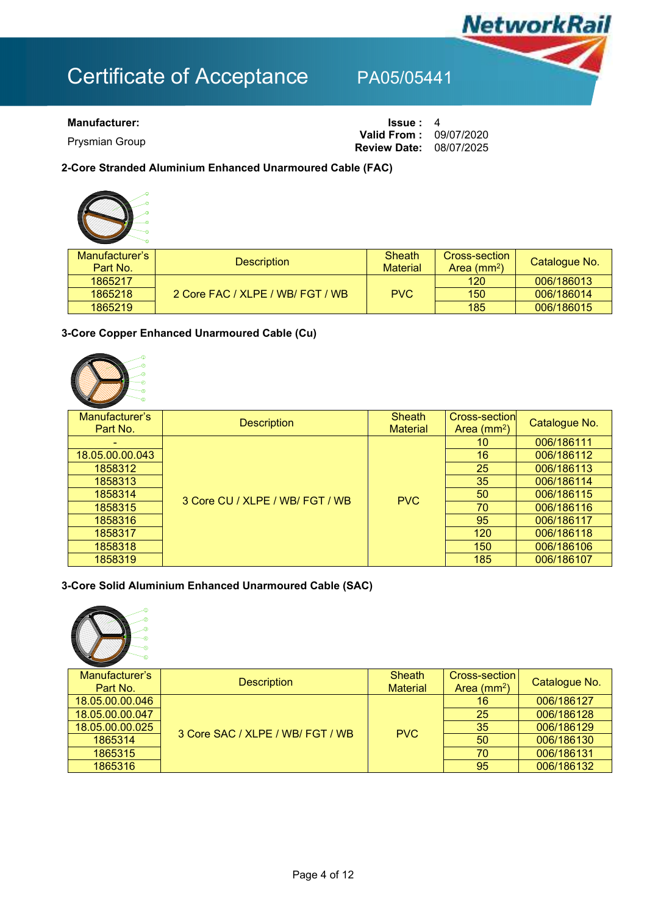

**Prysmian Group** 

**Manufacturer: ISSUE** : 4 **Review Date:** 08/07/2025 **Valid From: 09/07/2020** 

## **2-Core Stranded Aluminium Enhanced Unarmoured Cable (FAC)**

| Manufacturer's | <b>Description</b>               | <b>Sheath</b>   | Cross-section | Catalogue No. |
|----------------|----------------------------------|-----------------|---------------|---------------|
| Part No.       |                                  | <b>Material</b> | Area $(mm2)$  |               |
| 1865217        |                                  |                 | 120           | 006/186013    |
| 1865218        | 2 Core FAC / XLPE / WB/ FGT / WB | <b>PVC</b>      | 150           | 006/186014    |
| 1865219        |                                  |                 | 185           | 006/186015    |

## **3-Core Copper Enhanced Unarmoured Cable (Cu)**



| Manufacturer's<br>Part No. | <b>Description</b>              | <b>Sheath</b><br><b>Material</b> | Cross-section<br>Area $(mm2)$ | Catalogue No. |
|----------------------------|---------------------------------|----------------------------------|-------------------------------|---------------|
|                            |                                 |                                  | 10                            | 006/186111    |
| 18.05.00.00.043            |                                 |                                  | 16                            | 006/186112    |
| 1858312                    | 3 Core CU / XLPE / WB/ FGT / WB |                                  | 25                            | 006/186113    |
| 1858313                    |                                 | <b>PVC</b>                       | 35                            | 006/186114    |
| 1858314                    |                                 |                                  | 50                            | 006/186115    |
| 1858315                    |                                 |                                  | 70                            | 006/186116    |
| 1858316                    |                                 |                                  | 95                            | 006/186117    |
| 1858317                    |                                 |                                  | 120                           | 006/186118    |
| 1858318                    |                                 |                                  | 150                           | 006/186106    |
| 1858319                    |                                 |                                  | 185                           | 006/186107    |

## **3-Core Solid Aluminium Enhanced Unarmoured Cable (SAC)**



| Manufacturer's<br>Part No. | <b>Description</b>               | <b>Sheath</b><br><b>Material</b> | Cross-section I<br>Area $(mm2)$ | Catalogue No. |
|----------------------------|----------------------------------|----------------------------------|---------------------------------|---------------|
| 18.05.00.00.046            | 3 Core SAC / XLPE / WB/ FGT / WB | <b>PVC</b>                       | 16                              | 006/186127    |
| 18.05.00.00.047            |                                  |                                  | 25                              | 006/186128    |
| 18.05.00.00.025            |                                  |                                  | -35                             | 006/186129    |
| 1865314                    |                                  |                                  | 50                              | 006/186130    |
| 1865315                    |                                  |                                  | 70                              | 006/186131    |
| 1865316                    |                                  |                                  | 95                              | 006/186132    |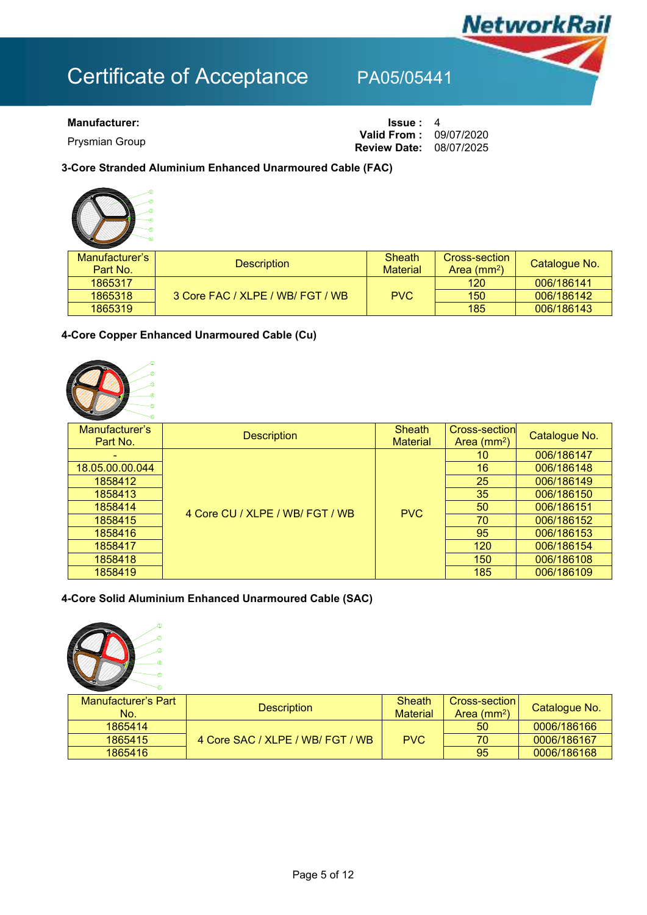

## **Manufacturer: ISSUE** : 4

**Prysmian Group** 

**Review Date:** 08/07/2025 **Valid From: 09/07/2020** 

**3-Core Stranded Aluminium Enhanced Unarmoured Cable (FAC)** 



| Manufacturer's<br>Part No. | <b>Description</b>               | Sheath<br><b>Material</b> | <b>Cross-section</b><br>Area $(mm2)$ | Catalogue No. |
|----------------------------|----------------------------------|---------------------------|--------------------------------------|---------------|
| 1865317                    |                                  |                           | 120                                  | 006/186141    |
| 1865318                    | 3 Core FAC / XLPE / WB/ FGT / WB | <b>PVC</b>                | 150                                  | 006/186142    |
| 1865319                    |                                  |                           | 185                                  | 006/186143    |

## **4-Core Copper Enhanced Unarmoured Cable (Cu)**



| Manufacturer's<br>Part No. | <b>Description</b>              | <b>Sheath</b><br><b>Material</b> | Cross-section<br>Area $(mm2)$ | Catalogue No. |
|----------------------------|---------------------------------|----------------------------------|-------------------------------|---------------|
|                            |                                 |                                  | 10                            | 006/186147    |
| 18.05.00.00.044            |                                 |                                  | 16                            | 006/186148    |
| 1858412                    | 4 Core CU / XLPE / WB/ FGT / WB |                                  | 25                            | 006/186149    |
| 1858413                    |                                 | <b>PVC</b>                       | 35                            | 006/186150    |
| 1858414                    |                                 |                                  | 50                            | 006/186151    |
| 1858415                    |                                 |                                  | 70                            | 006/186152    |
| 1858416                    |                                 |                                  | 95                            | 006/186153    |
| 1858417                    |                                 |                                  | 120                           | 006/186154    |
| 1858418                    |                                 |                                  | 150                           | 006/186108    |
| 1858419                    |                                 |                                  | 185                           | 006/186109    |

## **4-Core Solid Aluminium Enhanced Unarmoured Cable (SAC)**



| Manufacturer's Part ⊧<br>No. | <b>Description</b>               | Sheath<br><b>Material</b> | Cross-section I<br>Area $(mm2)$ | Catalogue No. |
|------------------------------|----------------------------------|---------------------------|---------------------------------|---------------|
| 1865414                      |                                  |                           | 50                              | 0006/186166   |
| 1865415                      | 4 Core SAC / XLPE / WB/ FGT / WB | <b>PVC</b>                | 70                              | 0006/186167   |
| 1865416                      |                                  |                           | 95                              | 0006/186168   |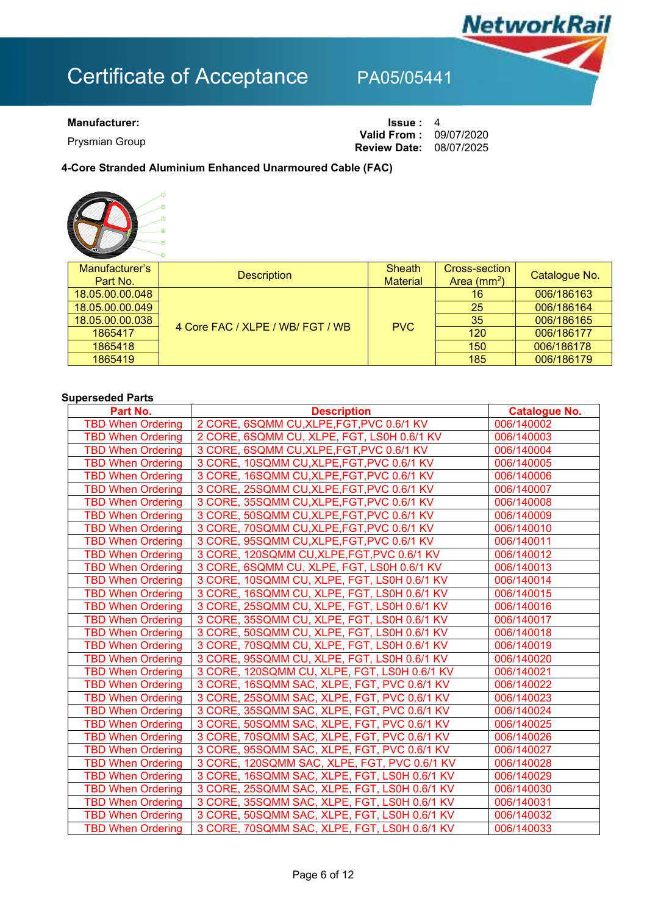

**Prysmian Group** 

**Manufacturer: ISSUE** : 4 **Review Date:** 08/07/2025 **Valid From: 09/07/2020** 

## **4-Core Stranded Aluminium Enhanced Unarmoured Cable (FAC)**



| Manufacturer's<br>Part No. | <b>Description</b>               | <b>Sheath</b><br><b>Material</b> | Cross-section<br>Area $(mm2)$ | Catalogue No. |
|----------------------------|----------------------------------|----------------------------------|-------------------------------|---------------|
| 18.05.00.00.048            | 4 Core FAC / XLPE / WB/ FGT / WB | <b>PVC</b>                       | 16                            | 006/186163    |
| 18.05.00.00.049            |                                  |                                  | 25                            | 006/186164    |
| 18.05.00.00.038            |                                  |                                  | 35                            | 006/186165    |
| 1865417                    |                                  |                                  | 120                           | 006/186177    |
| 1865418                    |                                  |                                  | 150                           | 006/186178    |
| 1865419                    |                                  |                                  | 185                           | 006/186179    |

## **Superseded Parts**

| Part No.                 | <b>Description</b>                           | <b>Catalogue No.</b> |
|--------------------------|----------------------------------------------|----------------------|
| <b>TBD When Ordering</b> | 2 CORE, 6SQMM CU, XLPE, FGT, PVC 0.6/1 KV    | 006/140002           |
| <b>TBD When Ordering</b> | 2 CORE, 6SQMM CU, XLPE, FGT, LS0H 0.6/1 KV   | 006/140003           |
| <b>TBD When Ordering</b> | 3 CORE, 6SQMM CU, XLPE, FGT, PVC 0.6/1 KV    | 006/140004           |
| <b>TBD When Ordering</b> | 3 CORE, 10SQMM CU, XLPE, FGT, PVC 0.6/1 KV   | 006/140005           |
| <b>TBD When Ordering</b> | 3 CORE, 16SQMM CU, XLPE, FGT, PVC 0.6/1 KV   | 006/140006           |
| <b>TBD When Ordering</b> | 3 CORE, 25SQMM CU, XLPE, FGT, PVC 0.6/1 KV   | 006/140007           |
| <b>TBD When Ordering</b> | 3 CORE, 35SQMM CU, XLPE, FGT, PVC 0.6/1 KV   | 006/140008           |
| <b>TBD When Ordering</b> | 3 CORE, 50SQMM CU, XLPE, FGT, PVC 0.6/1 KV   | 006/140009           |
| <b>TBD When Ordering</b> | 3 CORE, 70SQMM CU, XLPE, FGT, PVC 0.6/1 KV   | 006/140010           |
| <b>TBD When Ordering</b> | 3 CORE, 95SQMM CU, XLPE, FGT, PVC 0.6/1 KV   | 006/140011           |
| <b>TBD When Ordering</b> | 3 CORE, 120SQMM CU, XLPE, FGT, PVC 0.6/1 KV  | 006/140012           |
| <b>TBD When Ordering</b> | 3 CORE, 6SQMM CU, XLPE, FGT, LS0H 0.6/1 KV   | 006/140013           |
| <b>TBD When Ordering</b> | 3 CORE, 10SQMM CU, XLPE, FGT, LS0H 0.6/1 KV  | 006/140014           |
| <b>TBD When Ordering</b> | 3 CORE, 16SQMM CU, XLPE, FGT, LS0H 0.6/1 KV  | 006/140015           |
| <b>TBD When Ordering</b> | 3 CORE, 25SQMM CU, XLPE, FGT, LS0H 0.6/1 KV  | 006/140016           |
| <b>TBD When Ordering</b> | 3 CORE, 35SQMM CU, XLPE, FGT, LS0H 0.6/1 KV  | 006/140017           |
| <b>TBD When Ordering</b> | 3 CORE, 50SQMM CU, XLPE, FGT, LS0H 0.6/1 KV  | 006/140018           |
| <b>TBD When Ordering</b> | 3 CORE, 70SQMM CU, XLPE, FGT, LS0H 0.6/1 KV  | 006/140019           |
| <b>TBD When Ordering</b> | 3 CORE, 95SQMM CU, XLPE, FGT, LS0H 0.6/1 KV  | 006/140020           |
| <b>TBD When Ordering</b> | 3 CORE, 120SQMM CU, XLPE, FGT, LS0H 0.6/1 KV | 006/140021           |
| <b>TBD When Ordering</b> | 3 CORE, 16SQMM SAC, XLPE, FGT, PVC 0.6/1 KV  | 006/140022           |
| <b>TBD When Ordering</b> | 3 CORE, 25SQMM SAC, XLPE, FGT, PVC 0.6/1 KV  | 006/140023           |
| <b>TBD When Ordering</b> | 3 CORE, 35SQMM SAC, XLPE, FGT, PVC 0.6/1 KV  | 006/140024           |
| <b>TBD When Ordering</b> | 3 CORE, 50SQMM SAC, XLPE, FGT, PVC 0.6/1 KV  | 006/140025           |
| <b>TBD When Ordering</b> | 3 CORE, 70SQMM SAC, XLPE, FGT, PVC 0.6/1 KV  | 006/140026           |
| <b>TBD When Ordering</b> | 3 CORE, 95SQMM SAC, XLPE, FGT, PVC 0.6/1 KV  | 006/140027           |
| <b>TBD When Ordering</b> | 3 CORE, 120SQMM SAC, XLPE, FGT, PVC 0.6/1 KV | 006/140028           |
| <b>TBD When Ordering</b> | 3 CORE, 16SQMM SAC, XLPE, FGT, LS0H 0.6/1 KV | 006/140029           |
| <b>TBD When Ordering</b> | 3 CORE, 25SQMM SAC, XLPE, FGT, LS0H 0.6/1 KV | 006/140030           |
| <b>TBD When Ordering</b> | 3 CORE, 35SQMM SAC, XLPE, FGT, LS0H 0.6/1 KV | 006/140031           |
| <b>TBD When Ordering</b> | 3 CORE, 50SQMM SAC, XLPE, FGT, LS0H 0.6/1 KV | 006/140032           |
| <b>TBD When Ordering</b> | 3 CORE, 70SQMM SAC, XLPE, FGT, LS0H 0.6/1 KV | 006/140033           |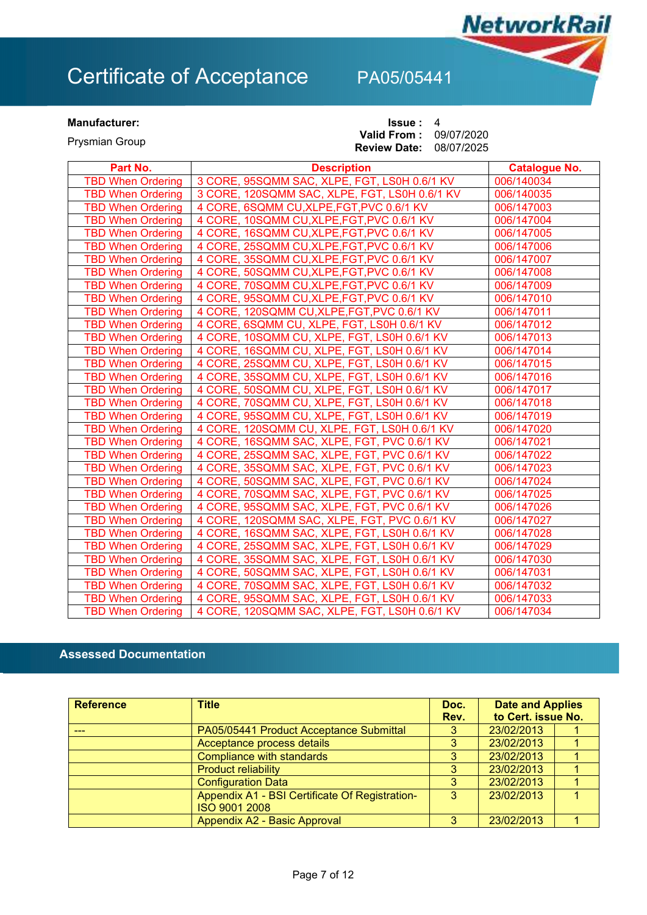**NetworkRail** 

### **Manufacturer: ISSUE** : 4 Prysmian Group **Valid From : Review Date:** 09/07/2020 08/07/2025

| Part No.                 | <b>Description</b>                            | <b>Catalogue No.</b> |
|--------------------------|-----------------------------------------------|----------------------|
| <b>TBD When Ordering</b> | 3 CORE, 95SQMM SAC, XLPE, FGT, LS0H 0.6/1 KV  | 006/140034           |
| <b>TBD When Ordering</b> | 3 CORE, 120SQMM SAC, XLPE, FGT, LS0H 0.6/1 KV | 006/140035           |
| <b>TBD When Ordering</b> | 4 CORE, 6SQMM CU, XLPE, FGT, PVC 0.6/1 KV     | 006/147003           |
| <b>TBD When Ordering</b> | 4 CORE, 10SQMM CU, XLPE, FGT, PVC 0.6/1 KV    | 006/147004           |
| <b>TBD When Ordering</b> | 4 CORE, 16SQMM CU, XLPE, FGT, PVC 0.6/1 KV    | 006/147005           |
| <b>TBD When Ordering</b> | 4 CORE, 25SQMM CU, XLPE, FGT, PVC 0.6/1 KV    | 006/147006           |
| <b>TBD When Ordering</b> | 4 CORE, 35SQMM CU, XLPE, FGT, PVC 0.6/1 KV    | 006/147007           |
| <b>TBD When Ordering</b> | 4 CORE, 50SQMM CU, XLPE, FGT, PVC 0.6/1 KV    | 006/147008           |
| <b>TBD When Ordering</b> | 4 CORE, 70SQMM CU, XLPE, FGT, PVC 0.6/1 KV    | 006/147009           |
| <b>TBD When Ordering</b> | 4 CORE, 95SQMM CU, XLPE, FGT, PVC 0.6/1 KV    | 006/147010           |
| <b>TBD When Ordering</b> | 4 CORE, 120SQMM CU, XLPE, FGT, PVC 0.6/1 KV   | 006/147011           |
| <b>TBD When Ordering</b> | 4 CORE, 6SQMM CU, XLPE, FGT, LS0H 0.6/1 KV    | 006/147012           |
| <b>TBD When Ordering</b> | 4 CORE, 10SQMM CU, XLPE, FGT, LS0H 0.6/1 KV   | 006/147013           |
| <b>TBD When Ordering</b> | 4 CORE, 16SQMM CU, XLPE, FGT, LS0H 0.6/1 KV   | 006/147014           |
| <b>TBD When Ordering</b> | 4 CORE, 25SQMM CU, XLPE, FGT, LS0H 0.6/1 KV   | 006/147015           |
| <b>TBD When Ordering</b> | 4 CORE, 35SQMM CU, XLPE, FGT, LS0H 0.6/1 KV   | 006/147016           |
| <b>TBD When Ordering</b> | 4 CORE, 50SQMM CU, XLPE, FGT, LS0H 0.6/1 KV   | 006/147017           |
| <b>TBD When Ordering</b> | 4 CORE, 70SQMM CU, XLPE, FGT, LS0H 0.6/1 KV   | 006/147018           |
| <b>TBD When Ordering</b> | 4 CORE, 95SQMM CU, XLPE, FGT, LS0H 0.6/1 KV   | 006/147019           |
| <b>TBD When Ordering</b> | 4 CORE, 120SQMM CU, XLPE, FGT, LS0H 0.6/1 KV  | 006/147020           |
| <b>TBD When Ordering</b> | 4 CORE, 16SQMM SAC, XLPE, FGT, PVC 0.6/1 KV   | 006/147021           |
| <b>TBD When Ordering</b> | 4 CORE, 25SQMM SAC, XLPE, FGT, PVC 0.6/1 KV   | 006/147022           |
| <b>TBD When Ordering</b> | 4 CORE, 35SQMM SAC, XLPE, FGT, PVC 0.6/1 KV   | 006/147023           |
| <b>TBD When Ordering</b> | 4 CORE, 50SQMM SAC, XLPE, FGT, PVC 0.6/1 KV   | 006/147024           |
| <b>TBD When Ordering</b> | 4 CORE, 70SQMM SAC, XLPE, FGT, PVC 0.6/1 KV   | 006/147025           |
| <b>TBD When Ordering</b> | 4 CORE, 95SQMM SAC, XLPE, FGT, PVC 0.6/1 KV   | 006/147026           |
| <b>TBD When Ordering</b> | 4 CORE, 120SQMM SAC, XLPE, FGT, PVC 0.6/1 KV  | 006/147027           |
| <b>TBD When Ordering</b> | 4 CORE, 16SQMM SAC, XLPE, FGT, LS0H 0.6/1 KV  | 006/147028           |
| <b>TBD When Ordering</b> | 4 CORE, 25SQMM SAC, XLPE, FGT, LS0H 0.6/1 KV  | 006/147029           |
| <b>TBD When Ordering</b> | 4 CORE, 35SQMM SAC, XLPE, FGT, LS0H 0.6/1 KV  | 006/147030           |
| <b>TBD When Ordering</b> | 4 CORE, 50SQMM SAC, XLPE, FGT, LS0H 0.6/1 KV  | 006/147031           |
| <b>TBD When Ordering</b> | 4 CORE, 70 SQMM SAC, XLPE, FGT, LS0H 0.6/1 KV | 006/147032           |
| <b>TBD When Ordering</b> | 4 CORE, 95SQMM SAC, XLPE, FGT, LS0H 0.6/1 KV  | 006/147033           |
| <b>TBD When Ordering</b> | 4 CORE, 120SQMM SAC, XLPE, FGT, LS0H 0.6/1 KV | 006/147034           |

## **Assessed Documentation**

| <b>Reference</b> | <b>Title</b>                                                    | Doc.<br>Rev. | <b>Date and Applies</b><br>to Cert. issue No. |  |
|------------------|-----------------------------------------------------------------|--------------|-----------------------------------------------|--|
|                  | PA05/05441 Product Acceptance Submittal                         | 3            | 23/02/2013                                    |  |
|                  | Acceptance process details                                      | 3            | 23/02/2013                                    |  |
|                  | <b>Compliance with standards</b>                                | 3            | 23/02/2013                                    |  |
|                  | <b>Product reliability</b>                                      |              | 23/02/2013                                    |  |
|                  | <b>Configuration Data</b>                                       | 3            | 23/02/2013                                    |  |
|                  | Appendix A1 - BSI Certificate Of Registration-<br>ISO 9001 2008 | 3            | 23/02/2013                                    |  |
|                  | Appendix A2 - Basic Approval                                    |              | 23/02/2013                                    |  |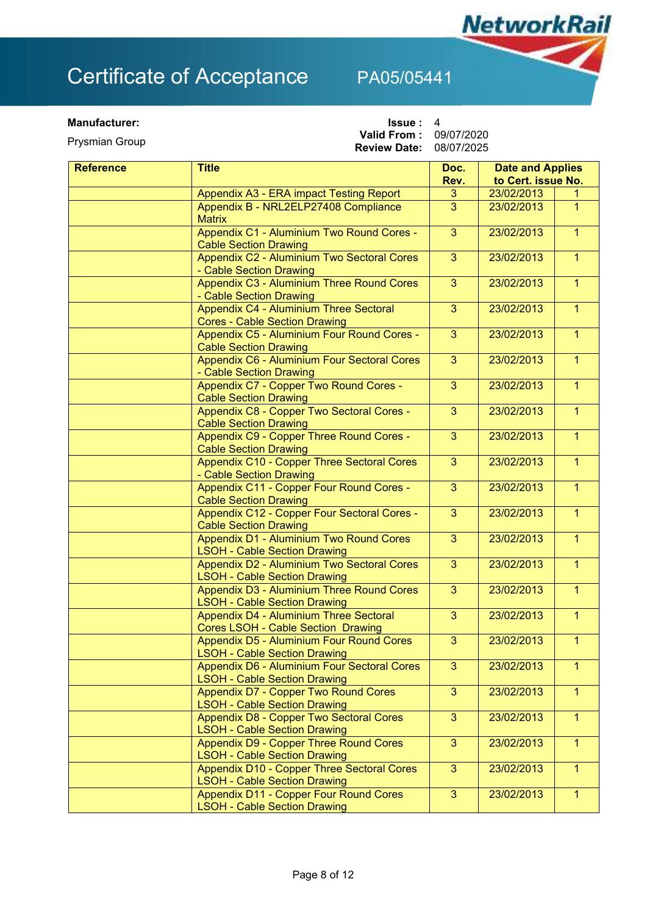**Prysmian Group** 

**Manufacturer: ISSUE** : 4 **Valid From: 09/07/2020** 

**Review Date:** 08/07/2025

**NetworkRail** 

| <b>Reference</b> | <b>Title</b>                                                                          | Doc.           | <b>Date and Applies</b> |                |
|------------------|---------------------------------------------------------------------------------------|----------------|-------------------------|----------------|
|                  |                                                                                       | Rev.           | to Cert. issue No.      |                |
|                  | Appendix A3 - ERA impact Testing Report                                               | 3              | 23/02/2013              |                |
|                  | Appendix B - NRL2ELP27408 Compliance<br><b>Matrix</b>                                 | 3              | 23/02/2013              | $\mathbf{1}$   |
|                  | Appendix C1 - Aluminium Two Round Cores -<br><b>Cable Section Drawing</b>             | 3              | 23/02/2013              | 1              |
|                  | <b>Appendix C2 - Aluminium Two Sectoral Cores</b><br>- Cable Section Drawing          | $\mathbf{3}$   | 23/02/2013              | $\mathbf{1}$   |
|                  | Appendix C3 - Aluminium Three Round Cores<br>- Cable Section Drawing                  | $\mathbf{3}$   | 23/02/2013              | $\overline{1}$ |
|                  | Appendix C4 - Aluminium Three Sectoral<br><b>Cores - Cable Section Drawing</b>        | 3              | 23/02/2013              | 1              |
|                  | Appendix C5 - Aluminium Four Round Cores -<br><b>Cable Section Drawing</b>            | 3              | 23/02/2013              | $\overline{1}$ |
|                  | Appendix C6 - Aluminium Four Sectoral Cores<br>- Cable Section Drawing                | 3              | 23/02/2013              | $\mathbf{1}$   |
|                  | Appendix C7 - Copper Two Round Cores -<br><b>Cable Section Drawing</b>                | 3              | 23/02/2013              | $\mathbf{1}$   |
|                  | Appendix C8 - Copper Two Sectoral Cores -<br><b>Cable Section Drawing</b>             | 3              | 23/02/2013              | $\mathbf{1}$   |
|                  | Appendix C9 - Copper Three Round Cores -<br><b>Cable Section Drawing</b>              | 3              | 23/02/2013              | $\overline{1}$ |
|                  | Appendix C10 - Copper Three Sectoral Cores<br>- Cable Section Drawing                 | 3              | 23/02/2013              | $\mathbf{1}$   |
|                  | <b>Appendix C11 - Copper Four Round Cores -</b><br><b>Cable Section Drawing</b>       | 3              | 23/02/2013              | $\overline{1}$ |
|                  | Appendix C12 - Copper Four Sectoral Cores -<br><b>Cable Section Drawing</b>           | 3              | 23/02/2013              | $\overline{1}$ |
|                  | Appendix D1 - Aluminium Two Round Cores<br><b>LSOH - Cable Section Drawing</b>        | 3              | 23/02/2013              | $\mathbf{1}$   |
|                  | Appendix D2 - Aluminium Two Sectoral Cores<br><b>LSOH - Cable Section Drawing</b>     | $\overline{3}$ | 23/02/2013              | $\overline{1}$ |
|                  | Appendix D3 - Aluminium Three Round Cores<br><b>LSOH - Cable Section Drawing</b>      | 3              | 23/02/2013              | $\overline{1}$ |
|                  | Appendix D4 - Aluminium Three Sectoral<br>Cores LSOH - Cable Section Drawing          | 3              | 23/02/2013              | 1              |
|                  | Appendix D5 - Aluminium Four Round Cores<br><b>LSOH - Cable Section Drawing</b>       | 3              | 23/02/2013              | $\overline{1}$ |
|                  | Appendix D6 - Aluminium Four Sectoral Cores<br><b>LSOH - Cable Section Drawing</b>    | $\overline{3}$ | 23/02/2013              | $\mathbf{1}$   |
|                  | <b>Appendix D7 - Copper Two Round Cores</b><br><b>LSOH - Cable Section Drawing</b>    | 3              | 23/02/2013              | $\mathbf{1}$   |
|                  | <b>Appendix D8 - Copper Two Sectoral Cores</b><br><b>LSOH - Cable Section Drawing</b> | $\overline{3}$ | 23/02/2013              | $\mathbf{1}$   |
|                  | Appendix D9 - Copper Three Round Cores<br><b>LSOH - Cable Section Drawing</b>         | 3              | 23/02/2013              | $\mathbf{1}$   |
|                  | Appendix D10 - Copper Three Sectoral Cores<br><b>LSOH - Cable Section Drawing</b>     | 3              | 23/02/2013              | $\mathbf{1}$   |
|                  | Appendix D11 - Copper Four Round Cores<br><b>LSOH - Cable Section Drawing</b>         | 3              | 23/02/2013              | $\overline{1}$ |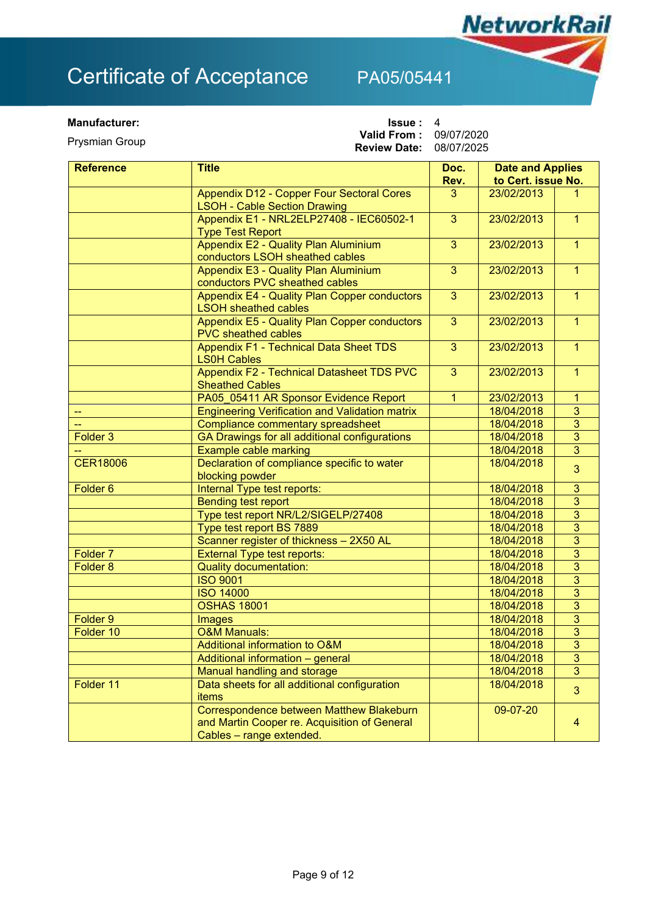**Prysmian Group** 

**Manufacturer: ISSUE** : 4 **Valid From: 09/07/2020** 

**Review Date:** 08/07/2025

**NetworkRail** 

| <b>Reference</b>    | <b>Title</b>                                                                | Doc.           | <b>Date and Applies</b> |                |
|---------------------|-----------------------------------------------------------------------------|----------------|-------------------------|----------------|
|                     |                                                                             | Rev.           | to Cert. issue No.      |                |
|                     | Appendix D12 - Copper Four Sectoral Cores                                   | 3              | 23/02/2013              |                |
|                     | <b>LSOH - Cable Section Drawing</b>                                         |                |                         |                |
|                     | Appendix E1 - NRL2ELP27408 - IEC60502-1                                     | 3              | 23/02/2013              | 1              |
|                     | <b>Type Test Report</b>                                                     |                |                         |                |
|                     | <b>Appendix E2 - Quality Plan Aluminium</b>                                 | $\overline{3}$ | 23/02/2013              | $\overline{1}$ |
|                     | conductors LSOH sheathed cables                                             |                |                         |                |
|                     | Appendix E3 - Quality Plan Aluminium                                        | $\overline{3}$ | 23/02/2013              | $\overline{1}$ |
|                     | conductors PVC sheathed cables                                              |                |                         |                |
|                     | Appendix E4 - Quality Plan Copper conductors<br><b>LSOH sheathed cables</b> | $\overline{3}$ | 23/02/2013              | $\overline{1}$ |
|                     | <b>Appendix E5 - Quality Plan Copper conductors</b>                         | $\overline{3}$ | 23/02/2013              | $\overline{1}$ |
|                     | <b>PVC</b> sheathed cables                                                  |                |                         |                |
|                     | <b>Appendix F1 - Technical Data Sheet TDS</b>                               | $\overline{3}$ | 23/02/2013              | $\overline{1}$ |
|                     | <b>LS0H Cables</b>                                                          |                |                         |                |
|                     | Appendix F2 - Technical Datasheet TDS PVC                                   | 3              | 23/02/2013              | 1              |
|                     | <b>Sheathed Cables</b>                                                      |                |                         |                |
|                     | PA05_05411 AR Sponsor Evidence Report                                       | $\mathbf{1}$   | 23/02/2013              | $\mathbf{1}$   |
|                     | <b>Engineering Verification and Validation matrix</b>                       |                | 18/04/2018              | $\overline{3}$ |
|                     | Compliance commentary spreadsheet                                           |                | 18/04/2018              | $\overline{3}$ |
| Folder <sub>3</sub> | GA Drawings for all additional configurations                               |                | 18/04/2018              | $\overline{3}$ |
|                     | <b>Example cable marking</b>                                                |                | 18/04/2018              | $\overline{3}$ |
| <b>CER18006</b>     | Declaration of compliance specific to water                                 |                | 18/04/2018              | 3              |
|                     | blocking powder                                                             |                |                         |                |
| Folder <sub>6</sub> | Internal Type test reports:                                                 |                | 18/04/2018              | 3              |
|                     | <b>Bending test report</b>                                                  |                | 18/04/2018              | $\overline{3}$ |
|                     | Type test report NR/L2/SIGELP/27408                                         |                | 18/04/2018              | $\overline{3}$ |
|                     | Type test report BS 7889                                                    |                | 18/04/2018              | 3              |
|                     | Scanner register of thickness - 2X50 AL                                     |                | 18/04/2018              | $\overline{3}$ |
| Folder <sub>7</sub> | <b>External Type test reports:</b>                                          |                | 18/04/2018              | 3              |
| Folder <sub>8</sub> | <b>Quality documentation:</b>                                               |                | 18/04/2018              | 3              |
|                     | <b>ISO 9001</b>                                                             |                | 18/04/2018              | $\overline{3}$ |
|                     | <b>ISO 14000</b>                                                            |                | 18/04/2018              | 3              |
|                     | <b>OSHAS 18001</b>                                                          |                | 18/04/2018              | 3              |
| Folder 9            | Images                                                                      |                | 18/04/2018              | $\overline{3}$ |
| Folder 10           | <b>O&amp;M Manuals:</b>                                                     |                | 18/04/2018              | 3              |
|                     | Additional information to O&M                                               |                | 18/04/2018              | $\overline{3}$ |
|                     | Additional information - general                                            |                | 18/04/2018              | 3              |
|                     | Manual handling and storage                                                 |                | 18/04/2018              | 3              |
| Folder 11           | Data sheets for all additional configuration                                |                | 18/04/2018              | 3              |
|                     | <b>items</b>                                                                |                |                         |                |
|                     | Correspondence between Matthew Blakeburn                                    |                | 09-07-20                |                |
|                     | and Martin Cooper re. Acquisition of General                                |                |                         | 4              |
|                     | Cables - range extended.                                                    |                |                         |                |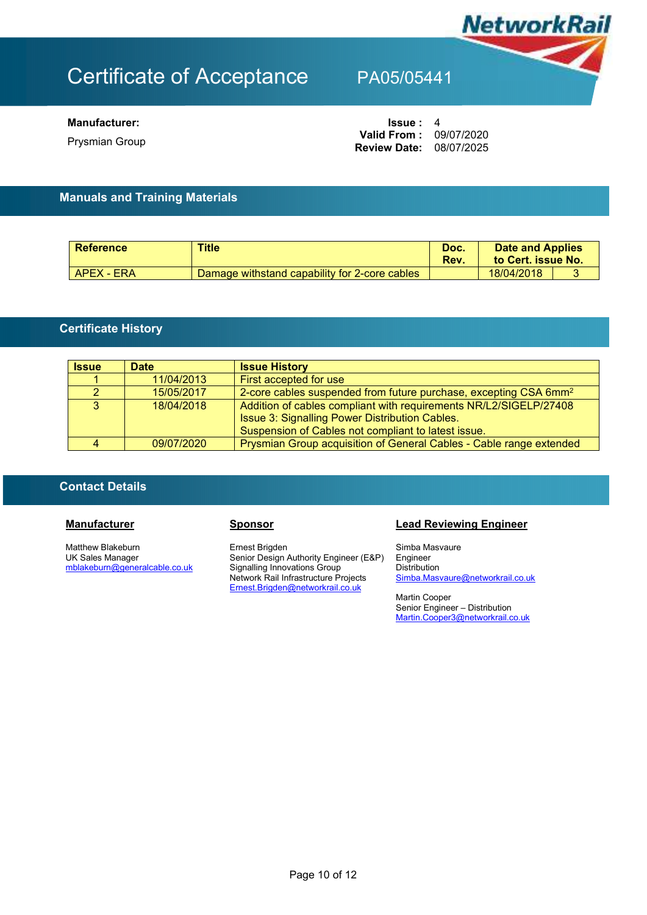

**Prysmian Group** 

## **Manufacturer: ISSUE** : 4 **Review Date:** 08/07/2025 **Valid From: 09/07/2020**

## **Manuals and Training Materials**

| <b>Reference</b> | <b>Title</b>                                  | Doc.<br>Rev. | <b>Date and Applies</b><br>to Cert. issue No. |  |
|------------------|-----------------------------------------------|--------------|-----------------------------------------------|--|
| APEX - ERA       | Damage withstand capability for 2-core cables |              | 18/04/2018                                    |  |

## **Certificate History**

| <b>Issue</b> | <b>Date</b> | <b>Issue History</b>                                                                                                                                                       |
|--------------|-------------|----------------------------------------------------------------------------------------------------------------------------------------------------------------------------|
|              | 11/04/2013  | First accepted for use                                                                                                                                                     |
|              | 15/05/2017  | 2-core cables suspended from future purchase, excepting CSA 6mm <sup>2</sup>                                                                                               |
| 3            | 18/04/2018  | Addition of cables compliant with requirements NR/L2/SIGELP/27408<br>Issue 3: Signalling Power Distribution Cables.<br>Suspension of Cables not compliant to latest issue. |
|              | 09/07/2020  | Prysmian Group acquisition of General Cables - Cable range extended                                                                                                        |

## **Contact Details**

Matthew Blakeburn UK Sales Manager mblakeburn@generalcable.co.uk

Ernest Brigden Senior Design Authority Engineer (E&P) Signalling Innovations Group Network Rail Infrastructure Projects Ernest.Brigden@networkrail.co.uk

## **Manufacturer Sponsor Sponsor Lead Reviewing Engineer**

Simba Masvaure Engineer **Distribution** Simba.Masvaure@networkrail.co.uk

Martin Cooper Senior Engineer – Distribution Martin.Cooper3@networkrail.co.uk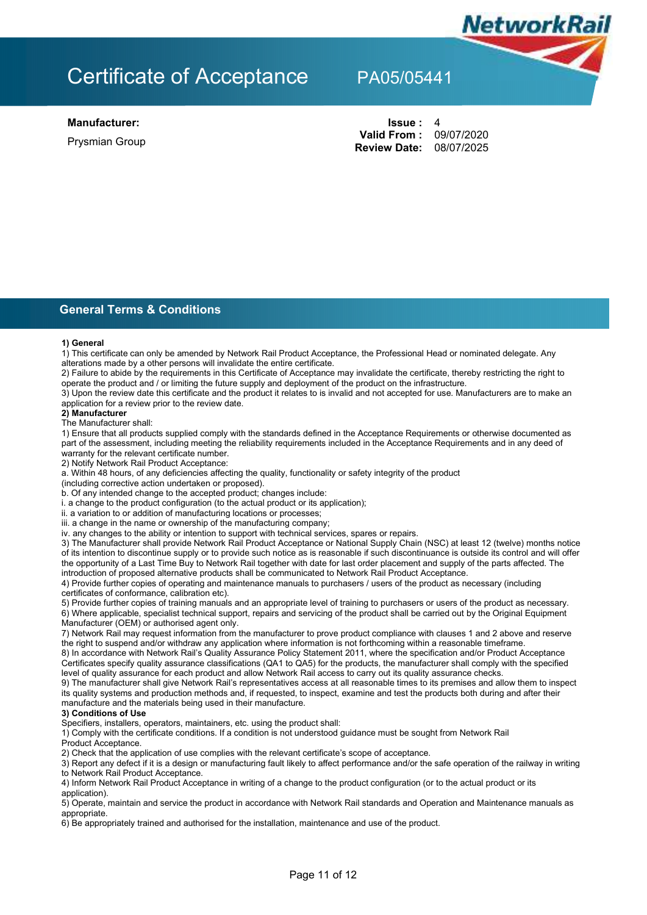

**Prysmian Group** 

**Manufacturer: Issue :** 4 **Review Date:** 08/07/2025 Valid From: 09/07/2020

NetworkRail

**General Terms & Conditions** 

### **1) General**

1) This certificate can only be amended by Network Rail Product Acceptance, the Professional Head or nominated delegate. Any alterations made by a other persons will invalidate the entire certificate.

2) Failure to abide by the requirements in this Certificate of Acceptance may invalidate the certificate, thereby restricting the right to operate the product and / or limiting the future supply and deployment of the product on the infrastructure.

3) Upon the review date this certificate and the product it relates to is invalid and not accepted for use. Manufacturers are to make an application for a review prior to the review date.

### **2) Manufacturer**

### The Manufacturer shall:

1) Ensure that all products supplied comply with the standards defined in the Acceptance Requirements or otherwise documented as part of the assessment, including meeting the reliability requirements included in the Acceptance Requirements and in any deed of warranty for the relevant certificate number.

2) Notify Network Rail Product Acceptance:

a. Within 48 hours, of any deficiencies affecting the quality, functionality or safety integrity of the product

(including corrective action undertaken or proposed).

b. Of any intended change to the accepted product; changes include:

i. a change to the product configuration (to the actual product or its application);

ii. a variation to or addition of manufacturing locations or processes;

iii. a change in the name or ownership of the manufacturing company;

iv. any changes to the ability or intention to support with technical services, spares or repairs.

3) The Manufacturer shall provide Network Rail Product Acceptance or National Supply Chain (NSC) at least 12 (twelve) months notice of its intention to discontinue supply or to provide such notice as is reasonable if such discontinuance is outside its control and will offer the opportunity of a Last Time Buy to Network Rail together with date for last order placement and supply of the parts affected. The introduction of proposed alternative products shall be communicated to Network Rail Product Acceptance.

4) Provide further copies of operating and maintenance manuals to purchasers / users of the product as necessary (including certificates of conformance, calibration etc).

5) Provide further copies of training manuals and an appropriate level of training to purchasers or users of the product as necessary. 6) Where applicable, specialist technical support, repairs and servicing of the product shall be carried out by the Original Equipment Manufacturer (OEM) or authorised agent only.

7) Network Rail may request information from the manufacturer to prove product compliance with clauses 1 and 2 above and reserve the right to suspend and/or withdraw any application where information is not forthcoming within a reasonable timeframe.

8) In accordance with Network Rail's Quality Assurance Policy Statement 2011, where the specification and/or Product Acceptance Certificates specify quality assurance classifications (QA1 to QA5) for the products, the manufacturer shall comply with the specified level of quality assurance for each product and allow Network Rail access to carry out its quality assurance checks.

9) The manufacturer shall give Network Rail's representatives access at all reasonable times to its premises and allow them to inspect its quality systems and production methods and, if requested, to inspect, examine and test the products both during and after their manufacture and the materials being used in their manufacture.

### **3) Conditions of Use**

Specifiers, installers, operators, maintainers, etc. using the product shall:

1) Comply with the certificate conditions. If a condition is not understood guidance must be sought from Network Rail

Product Acceptance.

2) Check that the application of use complies with the relevant certificate's scope of acceptance.

3) Report any defect if it is a design or manufacturing fault likely to affect performance and/or the safe operation of the railway in writing to Network Rail Product Acceptance.

4) Inform Network Rail Product Acceptance in writing of a change to the product configuration (or to the actual product or its application).

5) Operate, maintain and service the product in accordance with Network Rail standards and Operation and Maintenance manuals as appropriate.

6) Be appropriately trained and authorised for the installation, maintenance and use of the product.